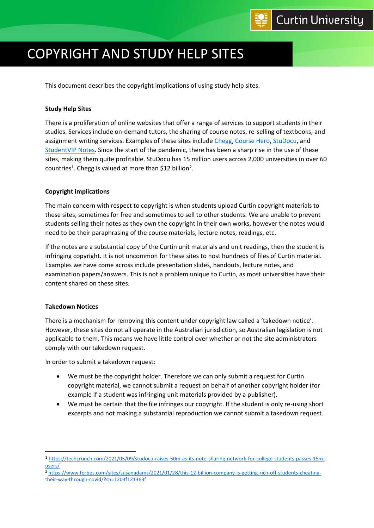# COPYRIGHT AND STUDY HELP SITES

This document describes the copyright implications of using study help sites.

### **Study Help Sites**

There is a proliferation of online websites that offer a range of services to support students in their studies. Services include on-demand tutors, the sharing of course notes, re-selling of textbooks, and assignment writing services. Examples of these sites includ[e Chegg,](https://www.chegg.com/) [Course Hero,](https://www.coursehero.com/) [StuDocu,](https://www.studocu.com/) and [StudentVIP Notes.](https://studentvip.com.au/notes) Since the start of the pandemic, there has been a sharp rise in the use of these sites, making them quite profitable. StuDocu has 15 million users across 2,000 universities in over 60 countries<sup>1</sup>. Chegg is valued at more than \$12 billion<sup>2</sup>.

### **Copyright implications**

The main concern with respect to copyright is when students upload Curtin copyright materials to these sites, sometimes for free and sometimes to sell to other students. We are unable to prevent students selling their notes as they own the copyright in their own works, however the notes would need to be their paraphrasing of the course materials, lecture notes, readings, etc.

If the notes are a substantial copy of the Curtin unit materials and unit readings, then the student is infringing copyright. It is not uncommon for these sites to host hundreds of files of Curtin material. Examples we have come across include presentation slides, handouts, lecture notes, and examination papers/answers. This is not a problem unique to Curtin, as most universities have their content shared on these sites.

#### **Takedown Notices**

There is a mechanism for removing this content under copyright law called a 'takedown notice'. However, these sites do not all operate in the Australian jurisdiction, so Australian legislation is not applicable to them. This means we have little control over whether or not the site administrators comply with our takedown request.

In order to submit a takedown request:

- We must be the copyright holder. Therefore we can only submit a request for Curtin copyright material, we cannot submit a request on behalf of another copyright holder (for example if a student was infringing unit materials provided by a publisher).
- We must be certain that the file infringes our copyright. If the student is only re-using short excerpts and not making a substantial reproduction we cannot submit a takedown request.

<sup>1</sup> [https://techcrunch.com/2021/05/09/studocu-raises-50m-as-its-note-sharing-network-for-college-students-passes-15m](https://techcrunch.com/2021/05/09/studocu-raises-50m-as-its-note-sharing-network-for-college-students-passes-15m-users/)[users/](https://techcrunch.com/2021/05/09/studocu-raises-50m-as-its-note-sharing-network-for-college-students-passes-15m-users/)

<sup>2</sup> [https://www.forbes.com/sites/susanadams/2021/01/28/this-12-billion-company-is-getting-rich-off-students-cheating](https://www.forbes.com/sites/susanadams/2021/01/28/this-12-billion-company-is-getting-rich-off-students-cheating-their-way-through-covid/?sh=1203f121363f)[their-way-through-covid/?sh=1203f121363f](https://www.forbes.com/sites/susanadams/2021/01/28/this-12-billion-company-is-getting-rich-off-students-cheating-their-way-through-covid/?sh=1203f121363f)